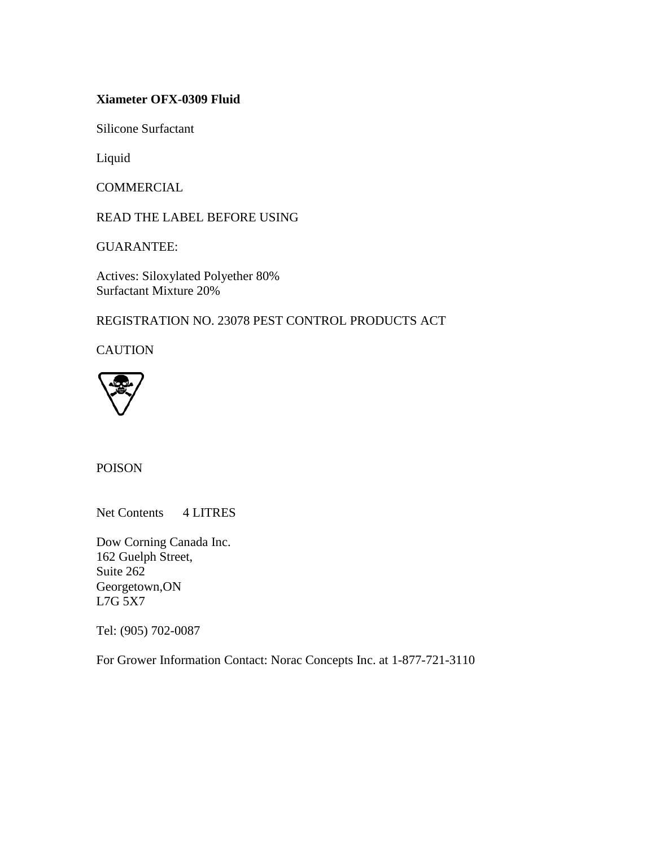## **Xiameter OFX-0309 Fluid**

Silicone Surfactant

Liquid

COMMERCIAL

READ THE LABEL BEFORE USING

GUARANTEE:

Actives: Siloxylated Polyether 80% Surfactant Mixture 20%

REGISTRATION NO. 23078 PEST CONTROL PRODUCTS ACT

**CAUTION** 



POISON

Net Contents 4 LITRES

Dow Corning Canada Inc. 162 Guelph Street, Suite 262 Georgetown,ON L7G 5X7

Tel: (905) 702-0087

For Grower Information Contact: Norac Concepts Inc. at 1-877-721-3110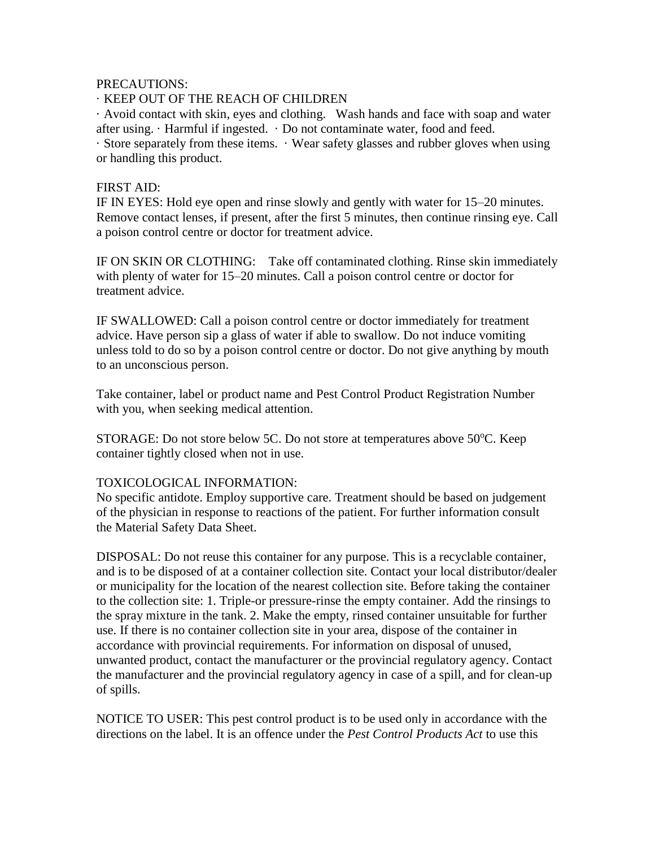#### PRECAUTIONS:

# · KEEP OUT OF THE REACH OF CHILDREN

· Avoid contact with skin, eyes and clothing. Wash hands and face with soap and water after using.  $\cdot$  Harmful if ingested.  $\cdot$  Do not contaminate water, food and feed.

· Store separately from these items. · Wear safety glasses and rubber gloves when using or handling this product.

### FIRST AID:

IF IN EYES: Hold eye open and rinse slowly and gently with water for 15–20 minutes. Remove contact lenses, if present, after the first 5 minutes, then continue rinsing eye. Call a poison control centre or doctor for treatment advice.

IF ON SKIN OR CLOTHING: Take off contaminated clothing. Rinse skin immediately with plenty of water for 15–20 minutes. Call a poison control centre or doctor for treatment advice.

IF SWALLOWED: Call a poison control centre or doctor immediately for treatment advice. Have person sip a glass of water if able to swallow. Do not induce vomiting unless told to do so by a poison control centre or doctor. Do not give anything by mouth to an unconscious person.

Take container, label or product name and Pest Control Product Registration Number with you, when seeking medical attention.

STORAGE: Do not store below 5C. Do not store at temperatures above  $50^{\circ}$ C. Keep container tightly closed when not in use.

### TOXICOLOGICAL INFORMATION:

No specific antidote. Employ supportive care. Treatment should be based on judgement of the physician in response to reactions of the patient. For further information consult the Material Safety Data Sheet.

DISPOSAL: Do not reuse this container for any purpose. This is a recyclable container, and is to be disposed of at a container collection site. Contact your local distributor/dealer or municipality for the location of the nearest collection site. Before taking the container to the collection site: 1. Triple-or pressure-rinse the empty container. Add the rinsings to the spray mixture in the tank. 2. Make the empty, rinsed container unsuitable for further use. If there is no container collection site in your area, dispose of the container in accordance with provincial requirements. For information on disposal of unused, unwanted product, contact the manufacturer or the provincial regulatory agency. Contact the manufacturer and the provincial regulatory agency in case of a spill, and for clean-up of spills.

NOTICE TO USER: This pest control product is to be used only in accordance with the directions on the label. It is an offence under the *Pest Control Products Act* to use this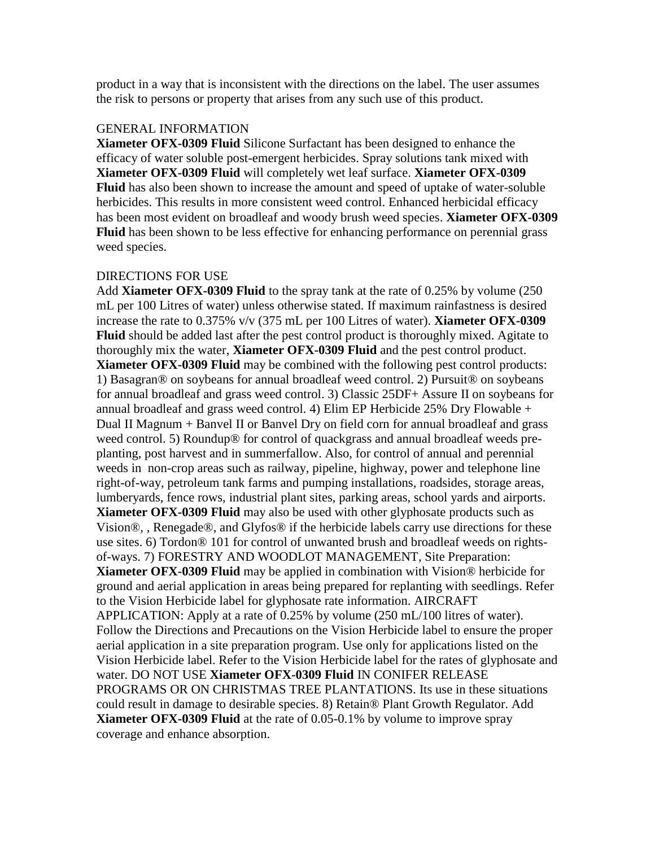product in a way that is inconsistent with the directions on the label. The user assumes the risk to persons or property that arises from any such use of this product.

#### GENERAL INFORMATION

**Xiameter OFX-0309 Fluid** Silicone Surfactant has been designed to enhance the efficacy of water soluble post-emergent herbicides. Spray solutions tank mixed with **Xiameter OFX-0309 Fluid** will completely wet leaf surface. **Xiameter OFX-0309 Fluid** has also been shown to increase the amount and speed of uptake of water-soluble herbicides. This results in more consistent weed control. Enhanced herbicidal efficacy has been most evident on broadleaf and woody brush weed species. **Xiameter OFX-0309 Fluid** has been shown to be less effective for enhancing performance on perennial grass weed species.

#### DIRECTIONS FOR USE

Add **Xiameter OFX-0309 Fluid** to the spray tank at the rate of 0.25% by volume (250 mL per 100 Litres of water) unless otherwise stated. If maximum rainfastness is desired increase the rate to 0.375% v/v (375 mL per 100 Litres of water). **Xiameter OFX-0309 Fluid** should be added last after the pest control product is thoroughly mixed. Agitate to thoroughly mix the water, **Xiameter OFX-0309 Fluid** and the pest control product. **Xiameter OFX-0309 Fluid** may be combined with the following pest control products: 1) Basagran® on soybeans for annual broadleaf weed control. 2) Pursuit® on soybeans for annual broadleaf and grass weed control. 3) Classic 25DF+ Assure II on soybeans for annual broadleaf and grass weed control. 4) Elim EP Herbicide  $25\%$  Dry Flowable + Dual II Magnum + Banvel II or Banvel Dry on field corn for annual broadleaf and grass weed control. 5) Roundup® for control of quackgrass and annual broadleaf weeds preplanting, post harvest and in summerfallow. Also, for control of annual and perennial weeds in non-crop areas such as railway, pipeline, highway, power and telephone line right-of-way, petroleum tank farms and pumping installations, roadsides, storage areas, lumberyards, fence rows, industrial plant sites, parking areas, school yards and airports. **Xiameter OFX-0309 Fluid** may also be used with other glyphosate products such as Vision®, , Renegade®, and Glyfos® if the herbicide labels carry use directions for these use sites. 6) Tordon® 101 for control of unwanted brush and broadleaf weeds on rightsof-ways. 7) FORESTRY AND WOODLOT MANAGEMENT, Site Preparation: **Xiameter OFX-0309 Fluid** may be applied in combination with Vision® herbicide for ground and aerial application in areas being prepared for replanting with seedlings. Refer to the Vision Herbicide label for glyphosate rate information. AIRCRAFT APPLICATION: Apply at a rate of 0.25% by volume (250 mL/100 litres of water). Follow the Directions and Precautions on the Vision Herbicide label to ensure the proper aerial application in a site preparation program. Use only for applications listed on the Vision Herbicide label. Refer to the Vision Herbicide label for the rates of glyphosate and water. DO NOT USE **Xiameter OFX-0309 Fluid** IN CONIFER RELEASE PROGRAMS OR ON CHRISTMAS TREE PLANTATIONS. Its use in these situations could result in damage to desirable species. 8) Retain® Plant Growth Regulator. Add **Xiameter OFX-0309 Fluid** at the rate of 0.05-0.1% by volume to improve spray coverage and enhance absorption.